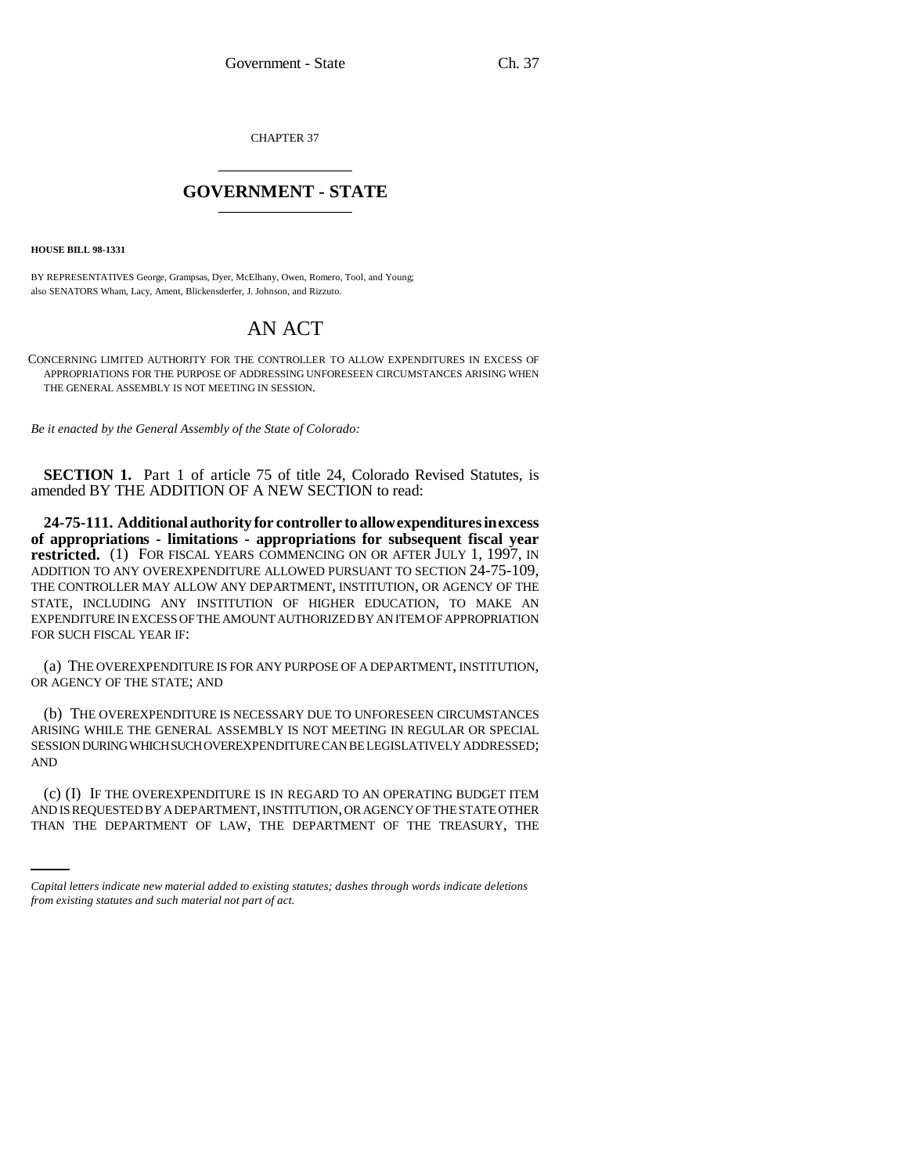CHAPTER 37 \_\_\_\_\_\_\_\_\_\_\_\_\_\_\_

## **GOVERNMENT - STATE** \_\_\_\_\_\_\_\_\_\_\_\_\_\_\_

**HOUSE BILL 98-1331**

BY REPRESENTATIVES George, Grampsas, Dyer, McElhany, Owen, Romero, Tool, and Young; also SENATORS Wham, Lacy, Ament, Blickensderfer, J. Johnson, and Rizzuto.

## AN ACT

CONCERNING LIMITED AUTHORITY FOR THE CONTROLLER TO ALLOW EXPENDITURES IN EXCESS OF APPROPRIATIONS FOR THE PURPOSE OF ADDRESSING UNFORESEEN CIRCUMSTANCES ARISING WHEN THE GENERAL ASSEMBLY IS NOT MEETING IN SESSION.

*Be it enacted by the General Assembly of the State of Colorado:*

**SECTION 1.** Part 1 of article 75 of title 24, Colorado Revised Statutes, is amended BY THE ADDITION OF A NEW SECTION to read:

**24-75-111. Additional authority for controller to allow expenditures in excess of appropriations - limitations - appropriations for subsequent fiscal year** restricted. (1) FOR FISCAL YEARS COMMENCING ON OR AFTER JULY 1, 1997, IN ADDITION TO ANY OVEREXPENDITURE ALLOWED PURSUANT TO SECTION 24-75-109, THE CONTROLLER MAY ALLOW ANY DEPARTMENT, INSTITUTION, OR AGENCY OF THE STATE, INCLUDING ANY INSTITUTION OF HIGHER EDUCATION, TO MAKE AN EXPENDITURE IN EXCESS OF THE AMOUNT AUTHORIZED BY AN ITEM OF APPROPRIATION FOR SUCH FISCAL YEAR IF:

(a) THE OVEREXPENDITURE IS FOR ANY PURPOSE OF A DEPARTMENT, INSTITUTION, OR AGENCY OF THE STATE; AND

(b) THE OVEREXPENDITURE IS NECESSARY DUE TO UNFORESEEN CIRCUMSTANCES ARISING WHILE THE GENERAL ASSEMBLY IS NOT MEETING IN REGULAR OR SPECIAL SESSION DURING WHICH SUCH OVEREXPENDITURE CAN BE LEGISLATIVELY ADDRESSED; AND

(c) (I) IF THE OVEREXPENDITURE IS IN REGARD TO AN OPERATING BUDGET ITEM AND IS REQUESTED BY A DEPARTMENT, INSTITUTION, OR AGENCY OF THE STATE OTHER THAN THE DEPARTMENT OF LAW, THE DEPARTMENT OF THE TREASURY, THE

*Capital letters indicate new material added to existing statutes; dashes through words indicate deletions from existing statutes and such material not part of act.*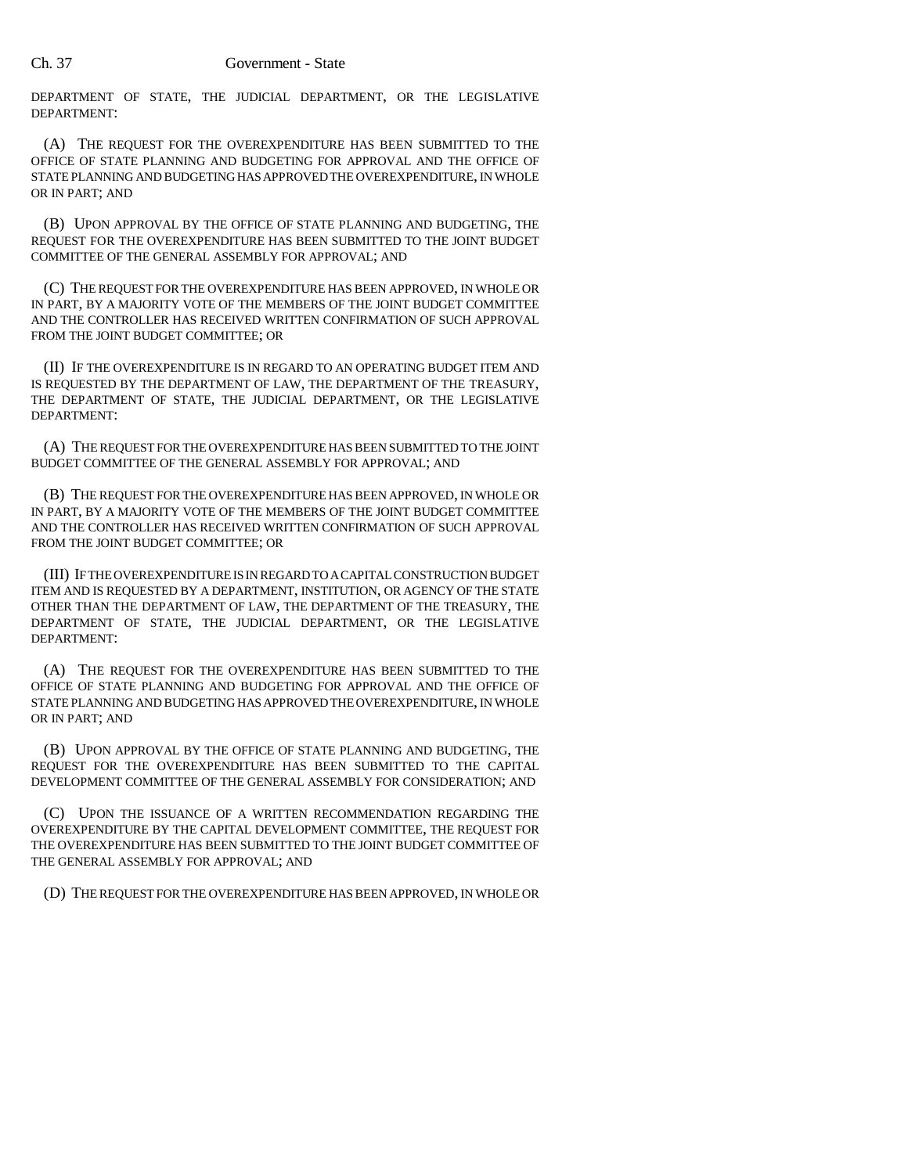DEPARTMENT OF STATE, THE JUDICIAL DEPARTMENT, OR THE LEGISLATIVE DEPARTMENT:

(A) THE REQUEST FOR THE OVEREXPENDITURE HAS BEEN SUBMITTED TO THE OFFICE OF STATE PLANNING AND BUDGETING FOR APPROVAL AND THE OFFICE OF STATE PLANNING AND BUDGETING HAS APPROVED THE OVEREXPENDITURE, IN WHOLE OR IN PART; AND

(B) UPON APPROVAL BY THE OFFICE OF STATE PLANNING AND BUDGETING, THE REQUEST FOR THE OVEREXPENDITURE HAS BEEN SUBMITTED TO THE JOINT BUDGET COMMITTEE OF THE GENERAL ASSEMBLY FOR APPROVAL; AND

(C) THE REQUEST FOR THE OVEREXPENDITURE HAS BEEN APPROVED, IN WHOLE OR IN PART, BY A MAJORITY VOTE OF THE MEMBERS OF THE JOINT BUDGET COMMITTEE AND THE CONTROLLER HAS RECEIVED WRITTEN CONFIRMATION OF SUCH APPROVAL FROM THE JOINT BUDGET COMMITTEE; OR

(II) IF THE OVEREXPENDITURE IS IN REGARD TO AN OPERATING BUDGET ITEM AND IS REQUESTED BY THE DEPARTMENT OF LAW, THE DEPARTMENT OF THE TREASURY, THE DEPARTMENT OF STATE, THE JUDICIAL DEPARTMENT, OR THE LEGISLATIVE DEPARTMENT:

(A) THE REQUEST FOR THE OVEREXPENDITURE HAS BEEN SUBMITTED TO THE JOINT BUDGET COMMITTEE OF THE GENERAL ASSEMBLY FOR APPROVAL; AND

(B) THE REQUEST FOR THE OVEREXPENDITURE HAS BEEN APPROVED, IN WHOLE OR IN PART, BY A MAJORITY VOTE OF THE MEMBERS OF THE JOINT BUDGET COMMITTEE AND THE CONTROLLER HAS RECEIVED WRITTEN CONFIRMATION OF SUCH APPROVAL FROM THE JOINT BUDGET COMMITTEE; OR

(III) IF THE OVEREXPENDITURE IS IN REGARD TO A CAPITAL CONSTRUCTION BUDGET ITEM AND IS REQUESTED BY A DEPARTMENT, INSTITUTION, OR AGENCY OF THE STATE OTHER THAN THE DEPARTMENT OF LAW, THE DEPARTMENT OF THE TREASURY, THE DEPARTMENT OF STATE, THE JUDICIAL DEPARTMENT, OR THE LEGISLATIVE DEPARTMENT:

(A) THE REQUEST FOR THE OVEREXPENDITURE HAS BEEN SUBMITTED TO THE OFFICE OF STATE PLANNING AND BUDGETING FOR APPROVAL AND THE OFFICE OF STATE PLANNING AND BUDGETING HAS APPROVED THE OVEREXPENDITURE, IN WHOLE OR IN PART; AND

(B) UPON APPROVAL BY THE OFFICE OF STATE PLANNING AND BUDGETING, THE REQUEST FOR THE OVEREXPENDITURE HAS BEEN SUBMITTED TO THE CAPITAL DEVELOPMENT COMMITTEE OF THE GENERAL ASSEMBLY FOR CONSIDERATION; AND

(C) UPON THE ISSUANCE OF A WRITTEN RECOMMENDATION REGARDING THE OVEREXPENDITURE BY THE CAPITAL DEVELOPMENT COMMITTEE, THE REQUEST FOR THE OVEREXPENDITURE HAS BEEN SUBMITTED TO THE JOINT BUDGET COMMITTEE OF THE GENERAL ASSEMBLY FOR APPROVAL; AND

(D) THE REQUEST FOR THE OVEREXPENDITURE HAS BEEN APPROVED, IN WHOLE OR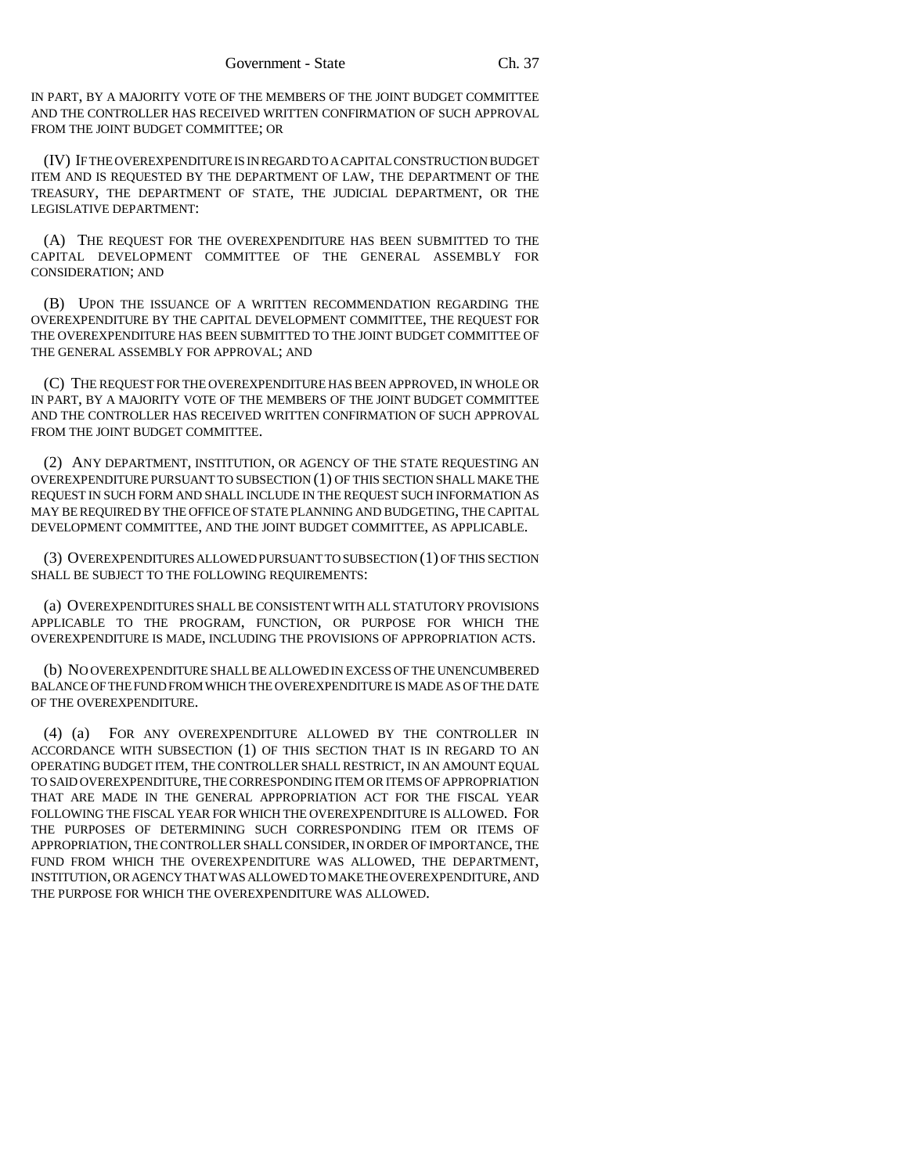IN PART, BY A MAJORITY VOTE OF THE MEMBERS OF THE JOINT BUDGET COMMITTEE AND THE CONTROLLER HAS RECEIVED WRITTEN CONFIRMATION OF SUCH APPROVAL FROM THE JOINT BUDGET COMMITTEE; OR

(IV) IF THE OVEREXPENDITURE IS IN REGARD TO A CAPITAL CONSTRUCTION BUDGET ITEM AND IS REQUESTED BY THE DEPARTMENT OF LAW, THE DEPARTMENT OF THE TREASURY, THE DEPARTMENT OF STATE, THE JUDICIAL DEPARTMENT, OR THE LEGISLATIVE DEPARTMENT:

(A) THE REQUEST FOR THE OVEREXPENDITURE HAS BEEN SUBMITTED TO THE CAPITAL DEVELOPMENT COMMITTEE OF THE GENERAL ASSEMBLY FOR CONSIDERATION; AND

(B) UPON THE ISSUANCE OF A WRITTEN RECOMMENDATION REGARDING THE OVEREXPENDITURE BY THE CAPITAL DEVELOPMENT COMMITTEE, THE REQUEST FOR THE OVEREXPENDITURE HAS BEEN SUBMITTED TO THE JOINT BUDGET COMMITTEE OF THE GENERAL ASSEMBLY FOR APPROVAL; AND

(C) THE REQUEST FOR THE OVEREXPENDITURE HAS BEEN APPROVED, IN WHOLE OR IN PART, BY A MAJORITY VOTE OF THE MEMBERS OF THE JOINT BUDGET COMMITTEE AND THE CONTROLLER HAS RECEIVED WRITTEN CONFIRMATION OF SUCH APPROVAL FROM THE JOINT BUDGET COMMITTEE.

(2) ANY DEPARTMENT, INSTITUTION, OR AGENCY OF THE STATE REQUESTING AN OVEREXPENDITURE PURSUANT TO SUBSECTION (1) OF THIS SECTION SHALL MAKE THE REQUEST IN SUCH FORM AND SHALL INCLUDE IN THE REQUEST SUCH INFORMATION AS MAY BE REQUIRED BY THE OFFICE OF STATE PLANNING AND BUDGETING, THE CAPITAL DEVELOPMENT COMMITTEE, AND THE JOINT BUDGET COMMITTEE, AS APPLICABLE.

(3) OVEREXPENDITURES ALLOWED PURSUANT TO SUBSECTION (1) OF THIS SECTION SHALL BE SUBJECT TO THE FOLLOWING REQUIREMENTS:

(a) OVEREXPENDITURES SHALL BE CONSISTENT WITH ALL STATUTORY PROVISIONS APPLICABLE TO THE PROGRAM, FUNCTION, OR PURPOSE FOR WHICH THE OVEREXPENDITURE IS MADE, INCLUDING THE PROVISIONS OF APPROPRIATION ACTS.

(b) NO OVEREXPENDITURE SHALL BE ALLOWED IN EXCESS OF THE UNENCUMBERED BALANCE OF THE FUND FROM WHICH THE OVEREXPENDITURE IS MADE AS OF THE DATE OF THE OVEREXPENDITURE.

(4) (a) FOR ANY OVEREXPENDITURE ALLOWED BY THE CONTROLLER IN ACCORDANCE WITH SUBSECTION (1) OF THIS SECTION THAT IS IN REGARD TO AN OPERATING BUDGET ITEM, THE CONTROLLER SHALL RESTRICT, IN AN AMOUNT EQUAL TO SAID OVEREXPENDITURE, THE CORRESPONDING ITEM OR ITEMS OF APPROPRIATION THAT ARE MADE IN THE GENERAL APPROPRIATION ACT FOR THE FISCAL YEAR FOLLOWING THE FISCAL YEAR FOR WHICH THE OVEREXPENDITURE IS ALLOWED. FOR THE PURPOSES OF DETERMINING SUCH CORRESPONDING ITEM OR ITEMS OF APPROPRIATION, THE CONTROLLER SHALL CONSIDER, IN ORDER OF IMPORTANCE, THE FUND FROM WHICH THE OVEREXPENDITURE WAS ALLOWED, THE DEPARTMENT, INSTITUTION, OR AGENCY THAT WAS ALLOWED TO MAKE THE OVEREXPENDITURE, AND THE PURPOSE FOR WHICH THE OVEREXPENDITURE WAS ALLOWED.